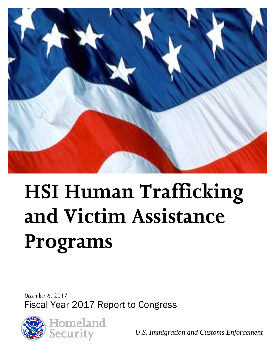

# **HSI Human Trafficking and Victim Assistance Programs**

*December 6, 2017* Fiscal Year 2017 Report to Congress





*U.S. Immigration and Customs Enforcement*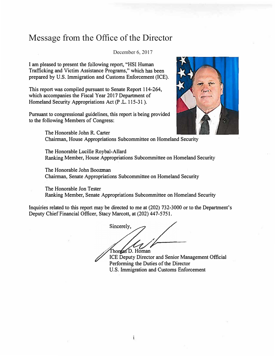#### Message from the Office of the Director

December 6, 2017

**I am pleased to present the following report, "HSI Human Trafficking and Victim Assistance Programs," which has been prepared by U.S. Immigration and Customs Enforcement (ICE).** 

**This report was compiled pursuant to Senate Report 114-264, which accompanies the Fiscal Year 2017 Department of Homeland Security Appropriations Act (P .L. 115-31 ).** 

**Pursuant to congressional guidelines, this report is being provided to the following Members of Congress:** 



**The Honorable John R. Carter Chairman, House Appropriations Subcommittee on Homeland Security** 

**The Honorable Lucille Roybal-Allard Ranking Member, House Appropriations Subcommittee on Homeland Security** 

**The Honorable John Boozman Chairman, Senate Appropriations Subcommittee on Homeland Security** 

**The Honorable Jon Tester Ranking Member, Senate Appropriations Subcommittee on Homeland Security** 

**Inquiries related to this report may be directed to me at (202) 732-3000 or to the Department's Deputy Chief Financial Officer, Stacy Marcott, at (202) 447-5751.** 

Sincerely. **D. Homan**

**ICE Deputy Director and Senior Management Official Performing the Duties of the Director U.S. Immigration and Customs Enforcement**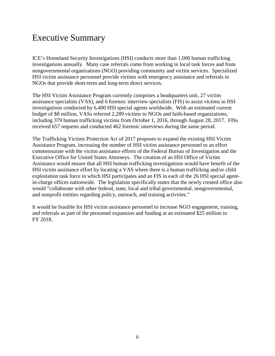# Executive Summary

ICE's Homeland Security Investigations (HSI) conducts more than 1,000 human trafficking investigations annually. Many case referrals come from working in local task forces and from nongovernmental organizations (NGO) providing community and victim services. Specialized HSI victim assistance personnel provide victims with emergency assistance and referrals to NGOs that provide short-term and long-term direct services.

The HSI Victim Assistance Program currently comprises a headquarters unit, 27 victim assistance specialists (VAS), and 6 forensic interview specialists (FIS) to assist victims in HSI investigations conducted by 6,400 HSI special agents worldwide. With an estimated current budget of \$8 million, VASs referred 2,289 victims to NGOs and faith-based organizations, including 379 human trafficking victims from October 1, 2016, through August 28, 2017. FISs received 657 requests and conducted 462 forensic interviews during the same period.

The Trafficking Victims Protection Act of 2017 proposes to expand the existing HSI Victim Assistance Program, increasing the number of HSI victim assistance personnel to an effort commensurate with the victim assistance efforts of the Federal Bureau of Investigation and the Executive Office for United States Attorneys. The creation of an HSI Office of Victim Assistance would ensure that all HSI human trafficking investigations would have benefit of the HSI victim assistance effort by locating a VAS where there is a human trafficking and/or child exploitation task force in which HSI participates and an FIS in each of the 26 HSI special agentin-charge offices nationwide. The legislation specifically states that the newly created office also would "collaborate with other federal, state, local and tribal governmental, nongovernmental, and nonprofit entities regarding policy, outreach, and training activities."

It would be feasible for HSI victim assistance personnel to increase NGO engagement, training, and referrals as part of the personnel expansion and funding at an estimated \$25 million in FY 2018.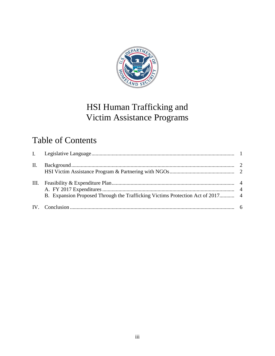

# HSI Human Trafficking and Victim Assistance Programs

# Table of Contents

| II.  |                                                                                |  |
|------|--------------------------------------------------------------------------------|--|
| III. | B. Expansion Proposed Through the Trafficking Victims Protection Act of 2017 4 |  |
|      |                                                                                |  |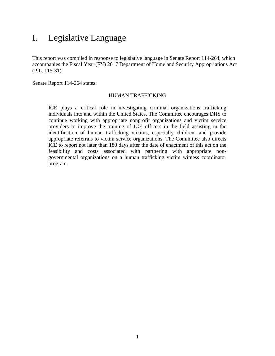#### <span id="page-4-0"></span>I. Legislative Language

This report was compiled in response to legislative language in Senate Report 114-264, which accompanies the Fiscal Year (FY) 2017 Department of Homeland Security Appropriations Act (P.L. 115-31).

Senate Report 114-264 states:

#### HUMAN TRAFFICKING

ICE plays a critical role in investigating criminal organizations trafficking individuals into and within the United States. The Committee encourages DHS to continue working with appropriate nonprofit organizations and victim service providers to improve the training of ICE officers in the field assisting in the identification of human trafficking victims, especially children, and provide appropriate referrals to victim service organizations. The Committee also directs ICE to report not later than 180 days after the date of enactment of this act on the feasibility and costs associated with partnering with appropriate nongovernmental organizations on a human trafficking victim witness coordinator program.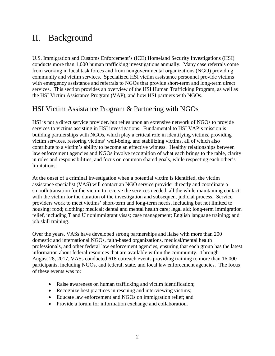## <span id="page-5-0"></span>II. Background

U.S. Immigration and Customs Enforcement's (ICE) Homeland Security Investigations (HSI) conducts more than 1,000 human trafficking investigations annually. Many case referrals come from working in local task forces and from nongovernmental organizations (NGO) providing community and victim services. Specialized HSI victim assistance personnel provide victims with emergency assistance and referrals to NGOs that provide short-term and long-term direct services. This section provides an overview of the HSI Human Trafficking Program, as well as the HSI Victim Assistance Program (VAP), and how HSI partners with NGOs.

#### <span id="page-5-1"></span>HSI Victim Assistance Program & Partnering with NGOs

HSI is not a direct service provider, but relies upon an extensive network of NGOs to provide services to victims assisting in HSI investigations. Fundamental to HSI VAP's mission is building partnerships with NGOs, which play a critical role in identifying victims, providing victim services, restoring victims' well-being, and stabilizing victims, all of which also contribute to a victim's ability to become an effective witness. Healthy relationships between law enforcement agencies and NGOs involve recognition of what each brings to the table, clarity in roles and responsibilities, and focus on common shared goals, while respecting each other's limitations.

At the onset of a criminal investigation when a potential victim is identified, the victim assistance specialist (VAS) will contact an NGO service provider directly and coordinate a smooth transition for the victim to receive the services needed, all the while maintaining contact with the victim for the duration of the investigation and subsequent judicial process. Service providers work to meet victims' short-term and long-term needs, including but not limited to housing; food; clothing; medical; dental and mental health care; legal aid; long-term immigration relief, including T and U nonimmigrant visas; case management; English language training; and job skill training.

Over the years, VASs have developed strong partnerships and liaise with more than 200 domestic and international NGOs, faith-based organizations, medical/mental health professionals, and other federal law enforcement agencies, ensuring that each group has the latest information about federal resources that are available within the community. Through August 28, 2017, VASs conducted 618 outreach events providing training to more than 16,000 participants, including NGOs, and federal, state, and local law enforcement agencies. The focus of these events was to:

- Raise awareness on human trafficking and victim identification;
- Recognize best practices in rescuing and interviewing victims;
- Educate law enforcement and NGOs on immigration relief; and
- Provide a forum for information exchange and collaboration.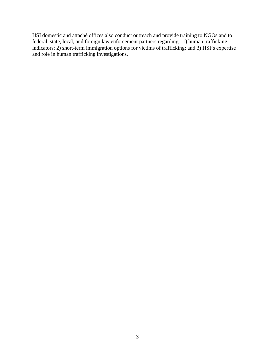HSI domestic and attaché offices also conduct outreach and provide training to NGOs and to federal, state, local, and foreign law enforcement partners regarding: 1) human trafficking indicators; 2) short-term immigration options for victims of trafficking; and 3) HSI's expertise and role in human trafficking investigations.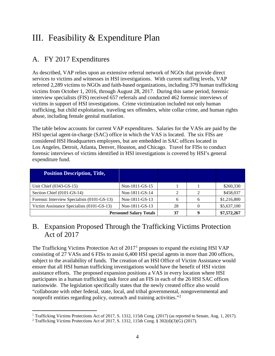# <span id="page-7-0"></span>III. Feasibility & Expenditure Plan

#### <span id="page-7-1"></span>A. FY 2017 Expenditures

As described, VAP relies upon an extensive referral network of NGOs that provide direct services to victims and witnesses in HSI investigations. With current staffing levels, VAP referred 2,289 victims to NGOs and faith-based organizations, including 379 human trafficking victims from October 1, 2016, through August 28, 2017. During this same period, forensic interview specialists (FIS) received 657 referrals and conducted 462 forensic interviews of victims in support of HSI investigations. Crime victimization included not only human trafficking, but child exploitation, traveling sex offenders, white collar crime, and human rights abuse, including female genital mutilation.

The table below accounts for current VAP expenditures. Salaries for the VASs are paid by the HSI special agent-in-charge (SAC) office in which the VAS is located. The six FISs are considered HSI Headquarters employees, but are embedded in SAC offices located in Los Angeles, Detroit, Atlanta, Denver, Houston, and Chicago. Travel for FISs to conduct forensic interviews of victims identified in HSI investigations is covered by HSI's general expenditure fund.

| <b>Position Description, Title,</b>         |                |    |   |             |
|---------------------------------------------|----------------|----|---|-------------|
| Unit Chief (0343-GS-15)                     | Non-1811-GS-15 |    |   | \$260,330   |
| Section Chief (0101-GS-14)                  | Non-1811-GS-14 |    |   | \$458,037   |
| Forensic Interview Specialists (0101-GS-13) | Non-1811-GS-13 | 6  | 6 | \$1,216,800 |
| Victim Assistance Specialists (0101-GS-13)  | Non-1811-GS-13 | 28 |   | \$5,637,100 |
| <b>Personnel Salary Totals</b>              |                | 37 |   | \$7,572,267 |

#### <span id="page-7-2"></span>B. Expansion Proposed Through the Trafficking Victims Protection Act of 2017

The Trafficking Victims Protection Act of  $2017<sup>1</sup>$  $2017<sup>1</sup>$  $2017<sup>1</sup>$  proposes to expand the existing HSI VAP consisting of 27 VASs and 6 FISs to assist 6,400 HSI special agents in more than 200 offices, subject to the availability of funds. The creation of an HSI Office of Victim Assistance would ensure that all HSI human trafficking investigations would have the benefit of HSI victim assistance efforts. The proposed expansion positions a VAS in every location where HSI participates in a human trafficking task force and an FIS in each of the 26 HSI SAC offices nationwide. The legislation specifically states that the newly created office also would "collaborate with other federal, state, local, and tribal governmental, nongovernmental and nonprofit entities regarding policy, outreach and training activities."<sup>[2](#page-7-4)</sup>

 $\overline{a}$ 

<span id="page-7-3"></span><sup>&</sup>lt;sup>1</sup> Trafficking Victims Protections Act of 2017, S. 1312, 115th Cong. (2017) (as reported to Senate, Aug. 1, 2017).

<span id="page-7-4"></span><sup>2</sup> Trafficking Victims Protections Act of 2017, S. 1312, 115th Cong. § 302(d)(3)(G) (2017).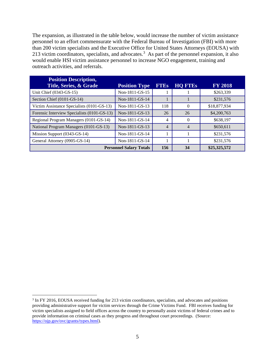The expansion, as illustrated in the table below, would increase the number of victim assistance personnel to an effort commensurate with the Federal Bureau of Investigation (FBI) with more than 200 victim specialists and the Executive Office for United States Attorneys (EOUSA) with 21[3](#page-8-0) victim coordinators, specialists, and advocates.<sup>3</sup> As part of the personnel expansion, it also would enable HSI victim assistance personnel to increase NGO engagement, training and outreach activities, and referrals.

| <b>Position Description,</b><br>Title, Series, & Grade | <b>Position Type</b> | <b>FTEs</b>    | <b>HQ FTEs</b>   | <b>FY 2018</b> |
|--------------------------------------------------------|----------------------|----------------|------------------|----------------|
| Unit Chief (0343-GS-15)                                | Non-1811-GS-15       |                |                  | \$263,339      |
| Section Chief (0101-GS-14)                             | Non-1811-GS-14       |                |                  | \$231,576      |
| Victim Assistance Specialists (0101-GS-13)             | Non-1811-GS-13       | 118            | $\Omega$         | \$18,877,934   |
| Forensic Interview Specialists (0101-GS-13)            | Non-1811-GS-13       | 26             | 26               | \$4,200,763    |
| Regional Program Managers (0101-GS-14)                 | Non-1811-GS-14       | 4              | $\left( \right)$ | \$638,197      |
| National Program Managers (0101-GS-13)                 | Non-1811-GS-13       | $\overline{4}$ | 4                | \$650,611      |
| Mission Support (0343-GS-14)                           | Non-1811-GS-14       |                |                  | \$231,576      |
| General Attorney (0905-GS-14)                          | Non-1811-GS-14       |                |                  | \$231,576      |
| <b>Personnel Salary Totals</b>                         |                      |                | 34               | \$25,325,572   |

<span id="page-8-0"></span><sup>&</sup>lt;sup>3</sup> In FY 2016, EOUSA received funding for 213 victim coordinators, specialists, and advocates and positions providing administrative support for victim services through the Crime Victims Fund. FBI receives funding for victim specialists assigned to field offices across the country to personally assist victims of federal crimes and to provide information on criminal cases as they progress and throughout court proceedings. (Source: [https://ojp.gov/ovc/grants/types.html\)](https://ojp.gov/ovc/grants/types.html).